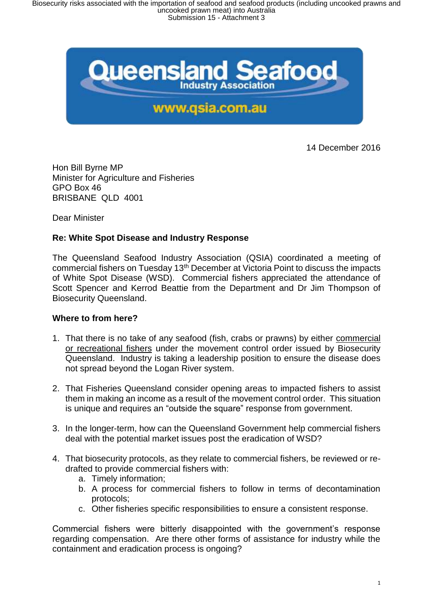

14 December 2016

Hon Bill Byrne MP Minister for Agriculture and Fisheries GPO Box 46 BRISBANE QLD 4001

Dear Minister

## **Re: White Spot Disease and Industry Response**

The Queensland Seafood Industry Association (QSIA) coordinated a meeting of commercial fishers on Tuesday 13th December at Victoria Point to discuss the impacts of White Spot Disease (WSD). Commercial fishers appreciated the attendance of Scott Spencer and Kerrod Beattie from the Department and Dr Jim Thompson of Biosecurity Queensland.

## **Where to from here?**

- 1. That there is no take of any seafood (fish, crabs or prawns) by either commercial or recreational fishers under the movement control order issued by Biosecurity Queensland. Industry is taking a leadership position to ensure the disease does not spread beyond the Logan River system.
- 2. That Fisheries Queensland consider opening areas to impacted fishers to assist them in making an income as a result of the movement control order. This situation is unique and requires an "outside the square" response from government.
- 3. In the longer-term, how can the Queensland Government help commercial fishers deal with the potential market issues post the eradication of WSD?
- 4. That biosecurity protocols, as they relate to commercial fishers, be reviewed or redrafted to provide commercial fishers with:
	- a. Timely information;
	- b. A process for commercial fishers to follow in terms of decontamination protocols;
	- c. Other fisheries specific responsibilities to ensure a consistent response.

Commercial fishers were bitterly disappointed with the government's response regarding compensation. Are there other forms of assistance for industry while the containment and eradication process is ongoing?